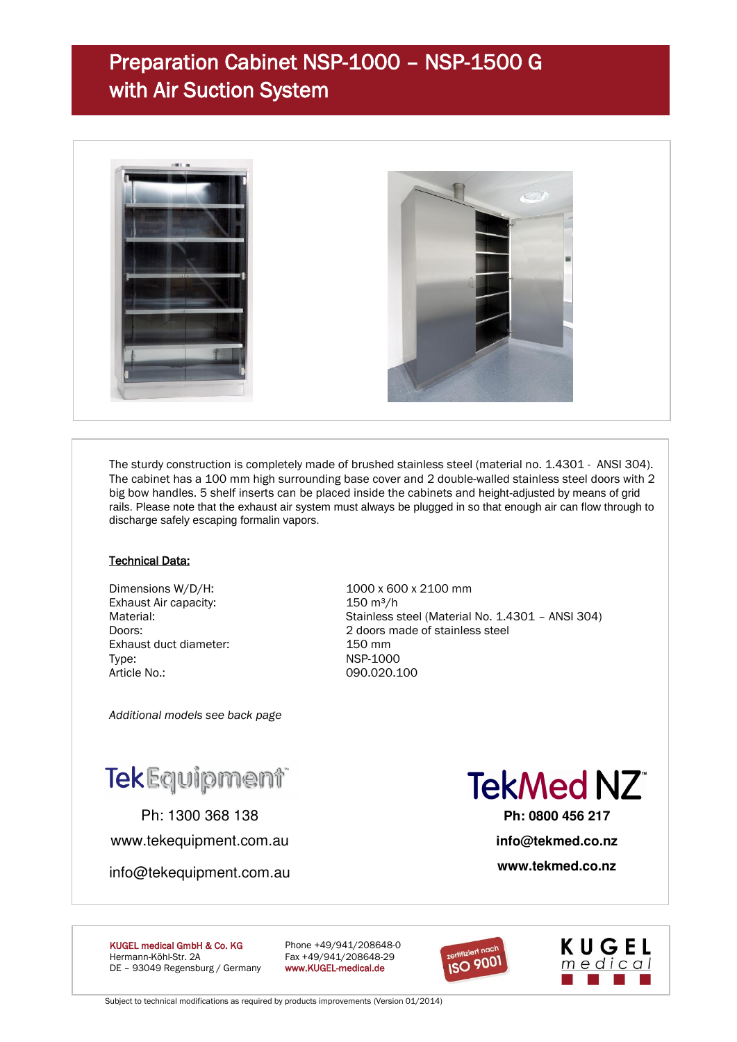## Preparation Cabinet NSP-1000 – NSP-1500 G with Air Suction System



The sturdy construction is completely made of brushed stainless steel (material no. 1.4301 - ANSI 304). The cabinet has a 100 mm high surrounding base cover and 2 double-walled stainless steel doors with 2 big bow handles. 5 shelf inserts can be placed inside the cabinets and height-adjusted by means of grid rails. Please note that the exhaust air system must always be plugged in so that enough air can flow through to discharge safely escaping formalin vapors.

#### Technical Data:

Exhaust Air capacity: 150 m<sup>3</sup>/h Exhaust duct diameter: 150 mm Type: NSP-1000 Article No.: 090.020.100

Dimensions W/D/H: 1000 x 600 x 2100 mm Material: Material: Stainless steel (Material No. 1.4301 – ANSI 304) Doors: 2 doors made of stainless steel

*Additional models see back page*

# TekEquipment®

Ph: 1300 368 138 www.tekequipment.com.au

info@tekequipment.com.au

**TekMed NZ** 

**Ph: 0800 456 217 info@tekmed.co.nz** 

**www.tekmed.co.nz** 

KUGEL medical GmbH & Co. KG Phone +49/941/208648-0 Hermann-Köhl-Str. 2A Fax +49/941/208648-29<br>DE - 93049 Regensburg / Germany www.KUGEL-medical.de DE - 93049 Regensburg / Germany





Subject to technical modifications as required by products improvements (Version 01/2014)